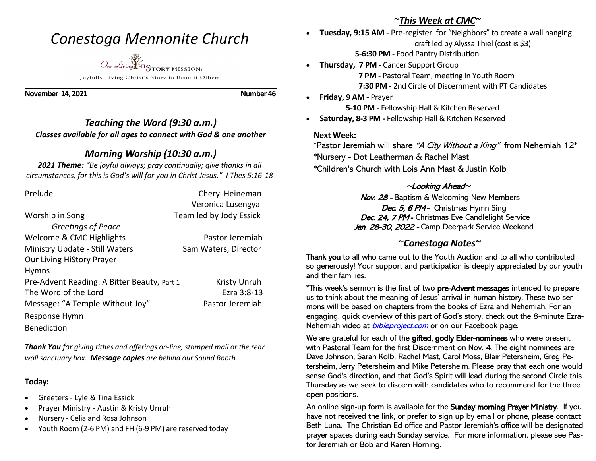## *Conestoga Mennonite Church*



Joyfully Living Christ's Story to Benefit Others

**November 14, 2021 Number 46** 

## *Teaching the Word (9:30 a.m.) Classes available for all ages to connect with God & one another*

## *Morning Worship (10:30 a.m.)*

*2021 Theme: "Be joyful always; pray continually; give thanks in all circumstances, for this is God's will for you in Christ Jesus." I Thes 5:16-18*

| Prelude                                     | Cheryl Heineman         |
|---------------------------------------------|-------------------------|
|                                             | Veronica Lusengya       |
| Worship in Song                             | Team led by Jody Essick |
| Greetings of Peace                          |                         |
| Welcome & CMC Highlights                    | Pastor Jeremiah         |
| Ministry Update - Still Waters              | Sam Waters, Director    |
| <b>Our Living HiStory Prayer</b>            |                         |
| <b>Hymns</b>                                |                         |
| Pre-Advent Reading: A Bitter Beauty, Part 1 | <b>Kristy Unruh</b>     |
| The Word of the Lord                        | Ezra 3:8-13             |
| Message: "A Temple Without Joy"             | Pastor Jeremiah         |
| Response Hymn                               |                         |
| Benediction                                 |                         |

*Thank You for giving tithes and offerings on-line, stamped mail or the rear wall sanctuary box. Message copies are behind our Sound Booth.*

#### **Today:**

- Greeters Lyle & Tina Essick
- Prayer Ministry Austin & Kristy Unruh
- Nursery Celia and Rosa Johnson
- Youth Room (2-6 PM) and FH (6-9 PM) are reserved today

## ~*This Week at CMC~*

• **Tuesday, 9:15 AM -** Pre-register for "Neighbors" to create a wall hanging craft led by Alyssa Thiel (cost is \$3)

**5-6:30 PM -** Food Pantry Distribution

- **Thursday, 7 PM -** Cancer Support Group **7 PM -** Pastoral Team, meeting in Youth Room **7:30 PM -** 2nd Circle of Discernment with PT Candidates
- **Friday, 9 AM -** Prayer

**5-10 PM -** Fellowship Hall & Kitchen Reserved

• **Saturday, 8-3 PM -** Fellowship Hall & Kitchen Reserved

### **Next Week:**

\*Pastor Jeremiah will share "A City Without a King" from Nehemiah  $12^*$  \*Nursery - Dot Leatherman & Rachel Mast \*Children's Church with Lois Ann Mast & Justin Kolb

## <sup>~</sup>Looking Ahead~

Nov. 28 - Baptism & Welcoming New Members Dec. 5, 6 PM - Christmas Hymn Sing Dec. 24, 7 PM - Christmas Eve Candlelight Service Jan. 28-30, 2022 - Camp Deerpark Service Weekend

## ~*Conestoga Notes~*

Thank you to all who came out to the Youth Auction and to all who contributed so generously! Your support and participation is deeply appreciated by our youth and their families.

\*This week's sermon is the first of two pre-Advent messages intended to prepare us to think about the meaning of Jesus' arrival in human history. These two sermons will be based on chapters from the books of Ezra and Nehemiah. For an engaging, quick overview of this part of God's story, check out the 8-minute Ezra-Nehemiah video at *bibleproject.com* or on our Facebook page.

We are grateful for each of the gifted, godly Elder-nominees who were present with Pastoral Team for the first Discernment on Nov. 4. The eight nominees are Dave Johnson, Sarah Kolb, Rachel Mast, Carol Moss, Blair Petersheim, Greg Petersheim, Jerry Petersheim and Mike Petersheim. Please pray that each one would sense God's direction, and that God's Spirit will lead during the second Circle this Thursday as we seek to discern with candidates who to recommend for the three open positions.

An online sign-up form is available for the Sunday morning Prayer Ministry. If you have not received the link, or prefer to sign up by email or phone, please contact Beth Luna. The Christian Ed office and Pastor Jeremiah's office will be designated prayer spaces during each Sunday service. For more information, please see Pastor Jeremiah or Bob and Karen Horning.